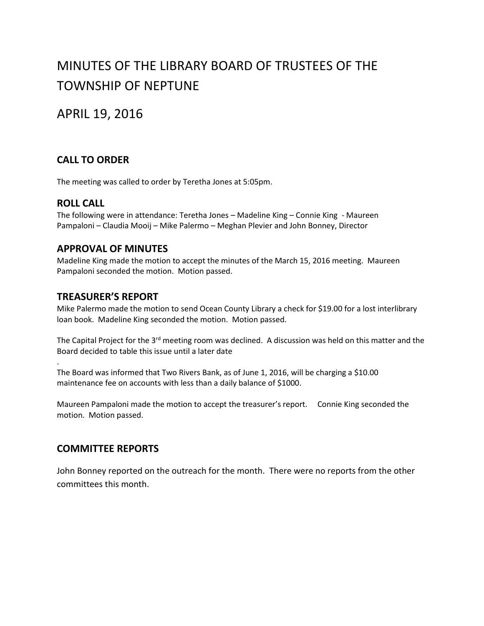# MINUTES OF THE LIBRARY BOARD OF TRUSTEES OF THE TOWNSHIP OF NEPTUNE

## APRIL 19, 2016

### **CALL TO ORDER**

The meeting was called to order by Teretha Jones at 5:05pm.

#### **ROLL CALL**

.

The following were in attendance: Teretha Jones – Madeline King – Connie King - Maureen Pampaloni – Claudia Mooij – Mike Palermo – Meghan Plevier and John Bonney, Director

#### **APPROVAL OF MINUTES**

Madeline King made the motion to accept the minutes of the March 15, 2016 meeting. Maureen Pampaloni seconded the motion. Motion passed.

#### **TREASURER'S REPORT**

Mike Palermo made the motion to send Ocean County Library a check for \$19.00 for a lost interlibrary loan book. Madeline King seconded the motion. Motion passed.

The Capital Project for the 3<sup>rd</sup> meeting room was declined. A discussion was held on this matter and the Board decided to table this issue until a later date

The Board was informed that Two Rivers Bank, as of June 1, 2016, will be charging a \$10.00 maintenance fee on accounts with less than a daily balance of \$1000.

Maureen Pampaloni made the motion to accept the treasurer's report. Connie King seconded the motion. Motion passed.

#### **COMMITTEE REPORTS**

John Bonney reported on the outreach for the month. There were no reports from the other committees this month.